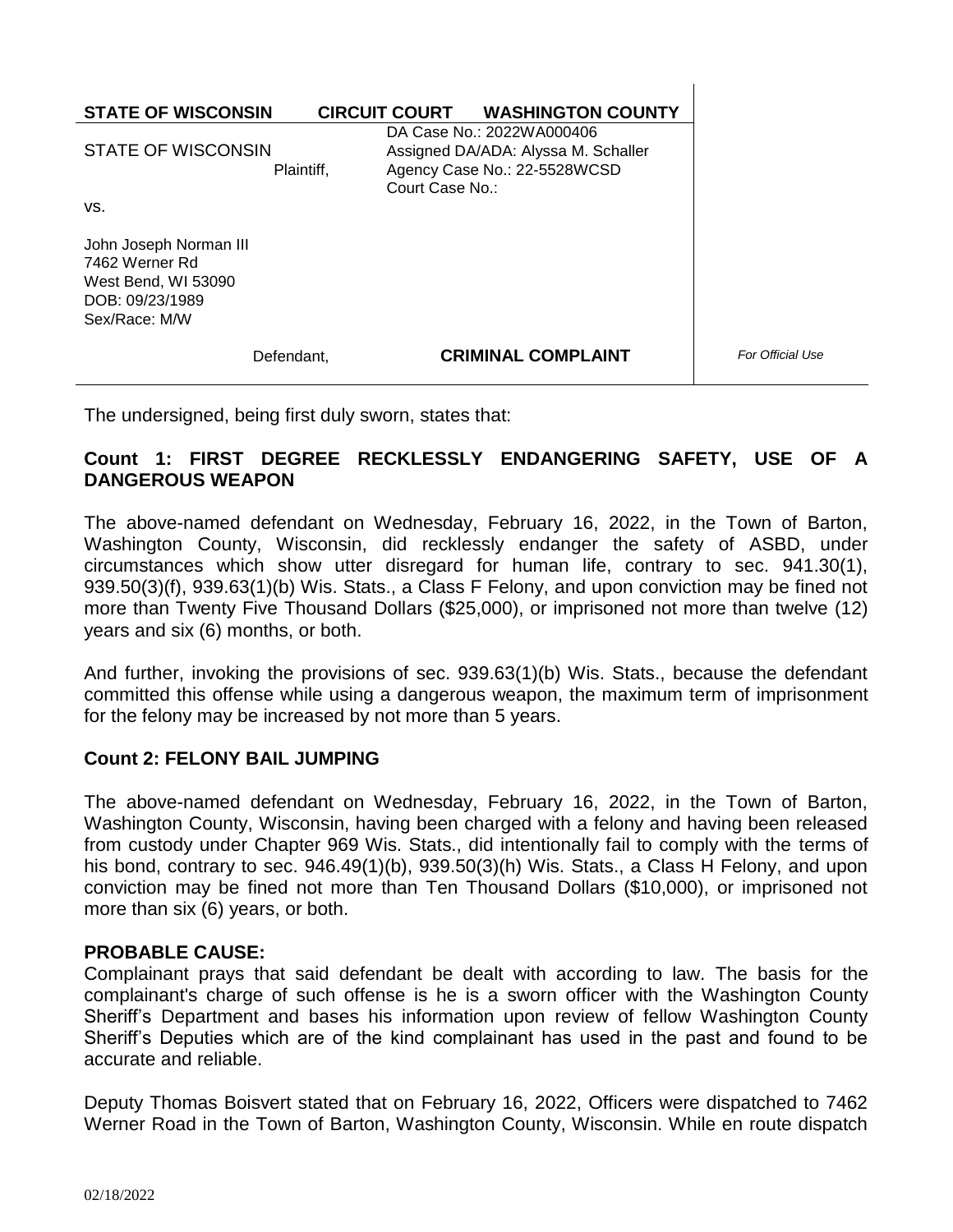| <b>STATE OF WISCONSIN</b>                                                                           |                 | <b>CIRCUIT COURT WASHINGTON COUNTY</b>                                                           |
|-----------------------------------------------------------------------------------------------------|-----------------|--------------------------------------------------------------------------------------------------|
| STATE OF WISCONSIN<br>Plaintiff,                                                                    | Court Case No.: | DA Case No.: 2022WA000406<br>Assigned DA/ADA: Alyssa M. Schaller<br>Agency Case No.: 22-5528WCSD |
| VS.                                                                                                 |                 |                                                                                                  |
| John Joseph Norman III<br>7462 Werner Rd<br>West Bend, WI 53090<br>DOB: 09/23/1989<br>Sex/Race: M/W |                 |                                                                                                  |
| Defendant.                                                                                          |                 | <b>CRIMINAL COMPLAINT</b>                                                                        |

The undersigned, being first duly sworn, states that:

## **Count 1: FIRST DEGREE RECKLESSLY ENDANGERING SAFETY, USE OF A DANGEROUS WEAPON**

 $\mathbf{I}$ 

The above-named defendant on Wednesday, February 16, 2022, in the Town of Barton, Washington County, Wisconsin, did recklessly endanger the safety of ASBD, under circumstances which show utter disregard for human life, contrary to sec. 941.30(1), 939.50(3)(f), 939.63(1)(b) Wis. Stats., a Class F Felony, and upon conviction may be fined not more than Twenty Five Thousand Dollars (\$25,000), or imprisoned not more than twelve (12) years and six (6) months, or both.

And further, invoking the provisions of sec. 939.63(1)(b) Wis. Stats., because the defendant committed this offense while using a dangerous weapon, the maximum term of imprisonment for the felony may be increased by not more than 5 years.

## **Count 2: FELONY BAIL JUMPING**

The above-named defendant on Wednesday, February 16, 2022, in the Town of Barton, Washington County, Wisconsin, having been charged with a felony and having been released from custody under Chapter 969 Wis. Stats., did intentionally fail to comply with the terms of his bond, contrary to sec. 946.49(1)(b), 939.50(3)(h) Wis. Stats., a Class H Felony, and upon conviction may be fined not more than Ten Thousand Dollars (\$10,000), or imprisoned not more than six (6) years, or both.

## **PROBABLE CAUSE:**

Complainant prays that said defendant be dealt with according to law. The basis for the complainant's charge of such offense is he is a sworn officer with the Washington County Sheriff's Department and bases his information upon review of fellow Washington County Sheriff's Deputies which are of the kind complainant has used in the past and found to be accurate and reliable.

Deputy Thomas Boisvert stated that on February 16, 2022, Officers were dispatched to 7462 Werner Road in the Town of Barton, Washington County, Wisconsin. While en route dispatch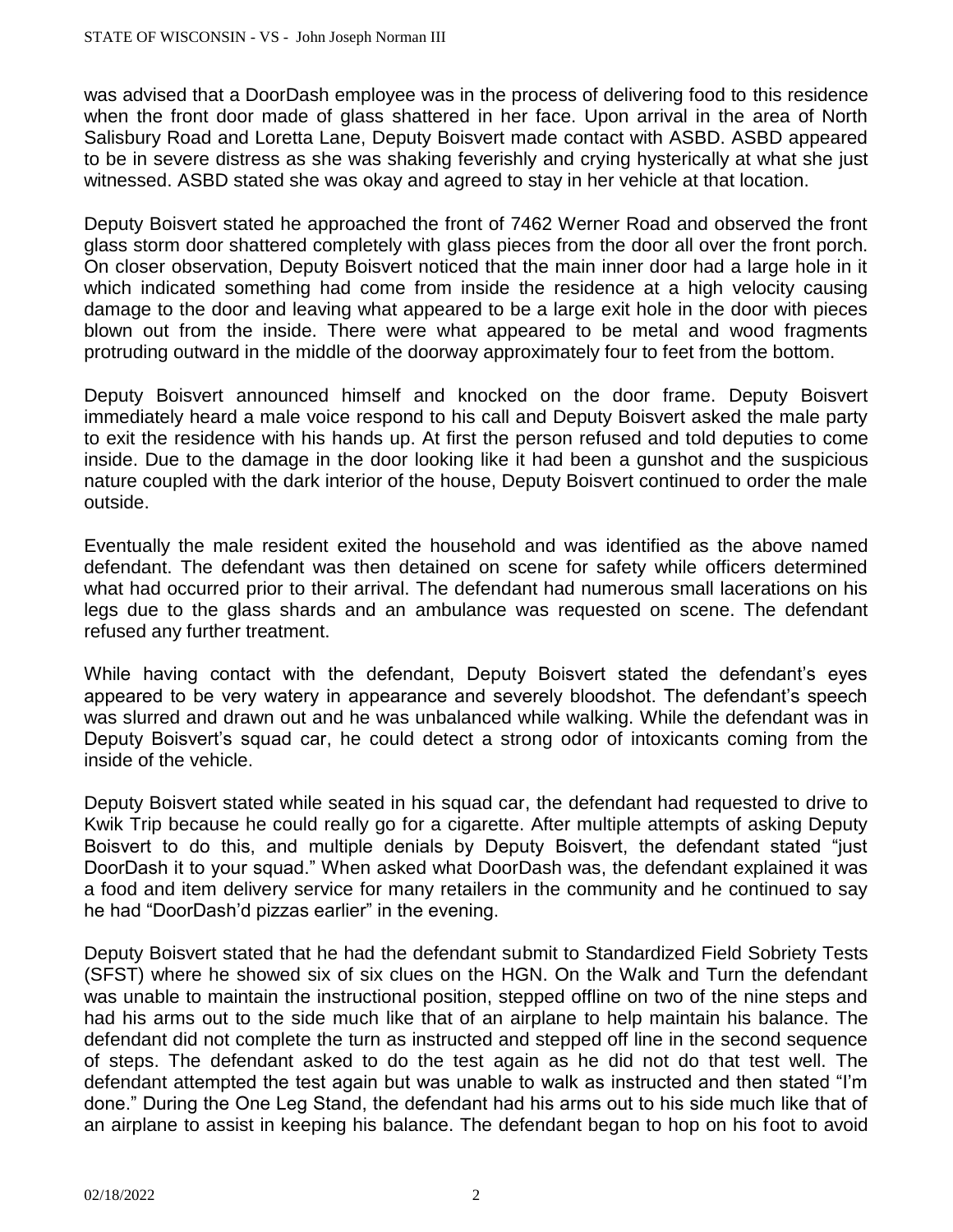was advised that a DoorDash employee was in the process of delivering food to this residence when the front door made of glass shattered in her face. Upon arrival in the area of North Salisbury Road and Loretta Lane, Deputy Boisvert made contact with ASBD. ASBD appeared to be in severe distress as she was shaking feverishly and crying hysterically at what she just witnessed. ASBD stated she was okay and agreed to stay in her vehicle at that location.

Deputy Boisvert stated he approached the front of 7462 Werner Road and observed the front glass storm door shattered completely with glass pieces from the door all over the front porch. On closer observation, Deputy Boisvert noticed that the main inner door had a large hole in it which indicated something had come from inside the residence at a high velocity causing damage to the door and leaving what appeared to be a large exit hole in the door with pieces blown out from the inside. There were what appeared to be metal and wood fragments protruding outward in the middle of the doorway approximately four to feet from the bottom.

Deputy Boisvert announced himself and knocked on the door frame. Deputy Boisvert immediately heard a male voice respond to his call and Deputy Boisvert asked the male party to exit the residence with his hands up. At first the person refused and told deputies to come inside. Due to the damage in the door looking like it had been a gunshot and the suspicious nature coupled with the dark interior of the house, Deputy Boisvert continued to order the male outside.

Eventually the male resident exited the household and was identified as the above named defendant. The defendant was then detained on scene for safety while officers determined what had occurred prior to their arrival. The defendant had numerous small lacerations on his legs due to the glass shards and an ambulance was requested on scene. The defendant refused any further treatment.

While having contact with the defendant, Deputy Boisvert stated the defendant's eyes appeared to be very watery in appearance and severely bloodshot. The defendant's speech was slurred and drawn out and he was unbalanced while walking. While the defendant was in Deputy Boisvert's squad car, he could detect a strong odor of intoxicants coming from the inside of the vehicle.

Deputy Boisvert stated while seated in his squad car, the defendant had requested to drive to Kwik Trip because he could really go for a cigarette. After multiple attempts of asking Deputy Boisvert to do this, and multiple denials by Deputy Boisvert, the defendant stated "just DoorDash it to your squad." When asked what DoorDash was, the defendant explained it was a food and item delivery service for many retailers in the community and he continued to say he had "DoorDash'd pizzas earlier" in the evening.

Deputy Boisvert stated that he had the defendant submit to Standardized Field Sobriety Tests (SFST) where he showed six of six clues on the HGN. On the Walk and Turn the defendant was unable to maintain the instructional position, stepped offline on two of the nine steps and had his arms out to the side much like that of an airplane to help maintain his balance. The defendant did not complete the turn as instructed and stepped off line in the second sequence of steps. The defendant asked to do the test again as he did not do that test well. The defendant attempted the test again but was unable to walk as instructed and then stated "I'm done." During the One Leg Stand, the defendant had his arms out to his side much like that of an airplane to assist in keeping his balance. The defendant began to hop on his foot to avoid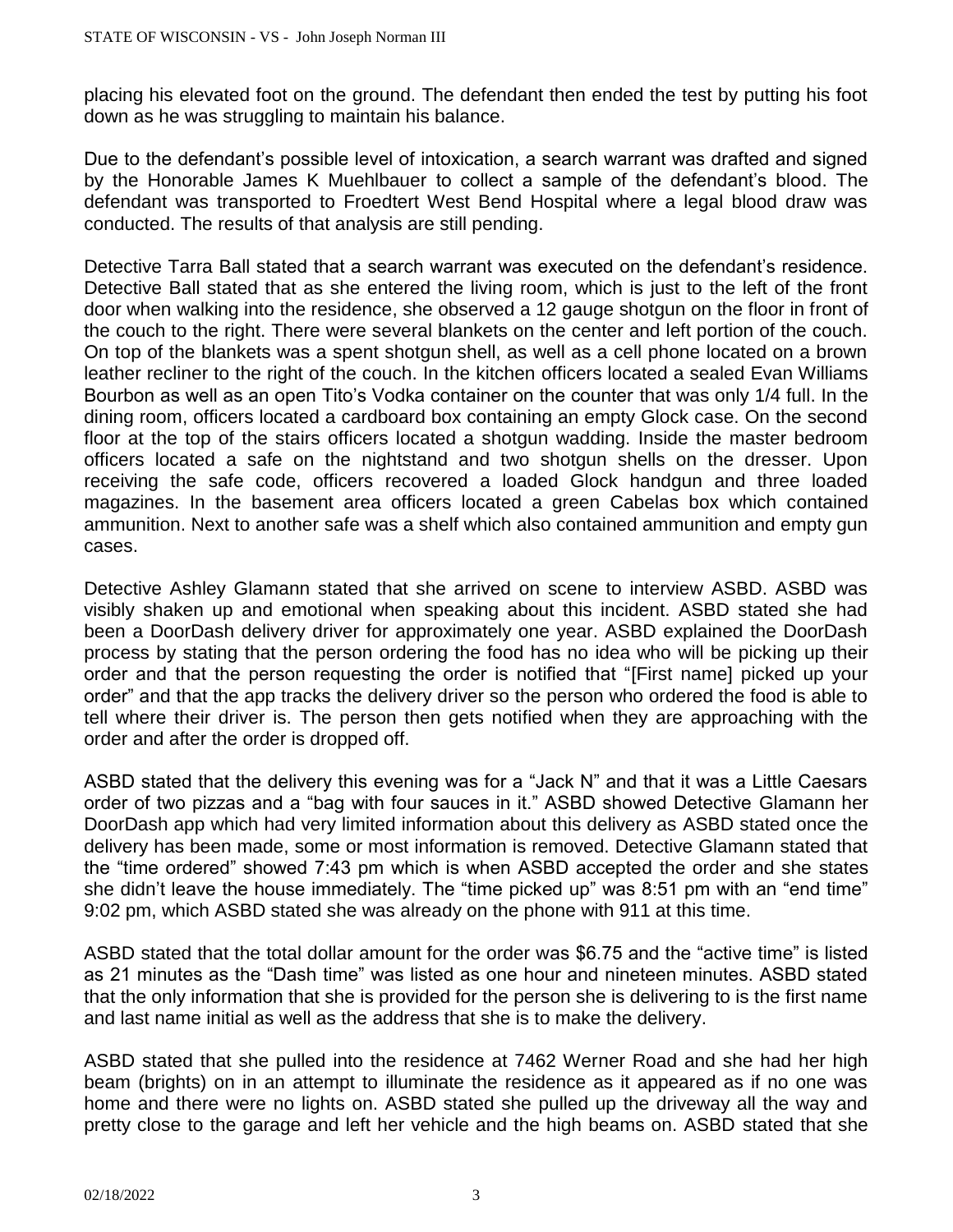placing his elevated foot on the ground. The defendant then ended the test by putting his foot down as he was struggling to maintain his balance.

Due to the defendant's possible level of intoxication, a search warrant was drafted and signed by the Honorable James K Muehlbauer to collect a sample of the defendant's blood. The defendant was transported to Froedtert West Bend Hospital where a legal blood draw was conducted. The results of that analysis are still pending.

Detective Tarra Ball stated that a search warrant was executed on the defendant's residence. Detective Ball stated that as she entered the living room, which is just to the left of the front door when walking into the residence, she observed a 12 gauge shotgun on the floor in front of the couch to the right. There were several blankets on the center and left portion of the couch. On top of the blankets was a spent shotgun shell, as well as a cell phone located on a brown leather recliner to the right of the couch. In the kitchen officers located a sealed Evan Williams Bourbon as well as an open Tito's Vodka container on the counter that was only 1/4 full. In the dining room, officers located a cardboard box containing an empty Glock case. On the second floor at the top of the stairs officers located a shotgun wadding. Inside the master bedroom officers located a safe on the nightstand and two shotgun shells on the dresser. Upon receiving the safe code, officers recovered a loaded Glock handgun and three loaded magazines. In the basement area officers located a green Cabelas box which contained ammunition. Next to another safe was a shelf which also contained ammunition and empty gun cases.

Detective Ashley Glamann stated that she arrived on scene to interview ASBD. ASBD was visibly shaken up and emotional when speaking about this incident. ASBD stated she had been a DoorDash delivery driver for approximately one year. ASBD explained the DoorDash process by stating that the person ordering the food has no idea who will be picking up their order and that the person requesting the order is notified that "[First name] picked up your order" and that the app tracks the delivery driver so the person who ordered the food is able to tell where their driver is. The person then gets notified when they are approaching with the order and after the order is dropped off.

ASBD stated that the delivery this evening was for a "Jack N" and that it was a Little Caesars order of two pizzas and a "bag with four sauces in it." ASBD showed Detective Glamann her DoorDash app which had very limited information about this delivery as ASBD stated once the delivery has been made, some or most information is removed. Detective Glamann stated that the "time ordered" showed 7:43 pm which is when ASBD accepted the order and she states she didn't leave the house immediately. The "time picked up" was 8:51 pm with an "end time" 9:02 pm, which ASBD stated she was already on the phone with 911 at this time.

ASBD stated that the total dollar amount for the order was \$6.75 and the "active time" is listed as 21 minutes as the "Dash time" was listed as one hour and nineteen minutes. ASBD stated that the only information that she is provided for the person she is delivering to is the first name and last name initial as well as the address that she is to make the delivery.

ASBD stated that she pulled into the residence at 7462 Werner Road and she had her high beam (brights) on in an attempt to illuminate the residence as it appeared as if no one was home and there were no lights on. ASBD stated she pulled up the driveway all the way and pretty close to the garage and left her vehicle and the high beams on. ASBD stated that she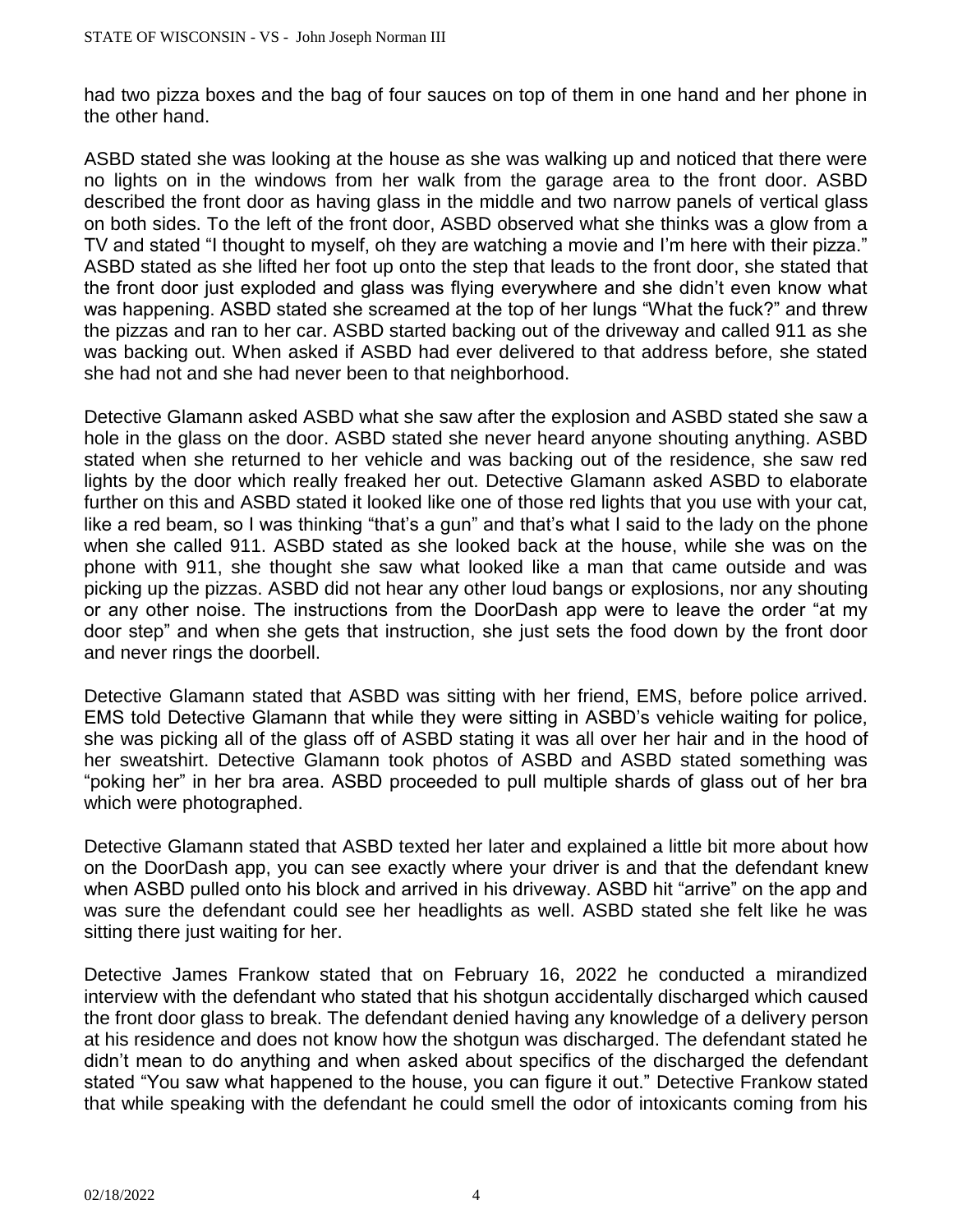had two pizza boxes and the bag of four sauces on top of them in one hand and her phone in the other hand.

ASBD stated she was looking at the house as she was walking up and noticed that there were no lights on in the windows from her walk from the garage area to the front door. ASBD described the front door as having glass in the middle and two narrow panels of vertical glass on both sides. To the left of the front door, ASBD observed what she thinks was a glow from a TV and stated "I thought to myself, oh they are watching a movie and I'm here with their pizza." ASBD stated as she lifted her foot up onto the step that leads to the front door, she stated that the front door just exploded and glass was flying everywhere and she didn't even know what was happening. ASBD stated she screamed at the top of her lungs "What the fuck?" and threw the pizzas and ran to her car. ASBD started backing out of the driveway and called 911 as she was backing out. When asked if ASBD had ever delivered to that address before, she stated she had not and she had never been to that neighborhood.

Detective Glamann asked ASBD what she saw after the explosion and ASBD stated she saw a hole in the glass on the door. ASBD stated she never heard anyone shouting anything. ASBD stated when she returned to her vehicle and was backing out of the residence, she saw red lights by the door which really freaked her out. Detective Glamann asked ASBD to elaborate further on this and ASBD stated it looked like one of those red lights that you use with your cat, like a red beam, so I was thinking "that's a gun" and that's what I said to the lady on the phone when she called 911. ASBD stated as she looked back at the house, while she was on the phone with 911, she thought she saw what looked like a man that came outside and was picking up the pizzas. ASBD did not hear any other loud bangs or explosions, nor any shouting or any other noise. The instructions from the DoorDash app were to leave the order "at my door step" and when she gets that instruction, she just sets the food down by the front door and never rings the doorbell.

Detective Glamann stated that ASBD was sitting with her friend, EMS, before police arrived. EMS told Detective Glamann that while they were sitting in ASBD's vehicle waiting for police, she was picking all of the glass off of ASBD stating it was all over her hair and in the hood of her sweatshirt. Detective Glamann took photos of ASBD and ASBD stated something was "poking her" in her bra area. ASBD proceeded to pull multiple shards of glass out of her bra which were photographed.

Detective Glamann stated that ASBD texted her later and explained a little bit more about how on the DoorDash app, you can see exactly where your driver is and that the defendant knew when ASBD pulled onto his block and arrived in his driveway. ASBD hit "arrive" on the app and was sure the defendant could see her headlights as well. ASBD stated she felt like he was sitting there just waiting for her.

Detective James Frankow stated that on February 16, 2022 he conducted a mirandized interview with the defendant who stated that his shotgun accidentally discharged which caused the front door glass to break. The defendant denied having any knowledge of a delivery person at his residence and does not know how the shotgun was discharged. The defendant stated he didn't mean to do anything and when asked about specifics of the discharged the defendant stated "You saw what happened to the house, you can figure it out." Detective Frankow stated that while speaking with the defendant he could smell the odor of intoxicants coming from his